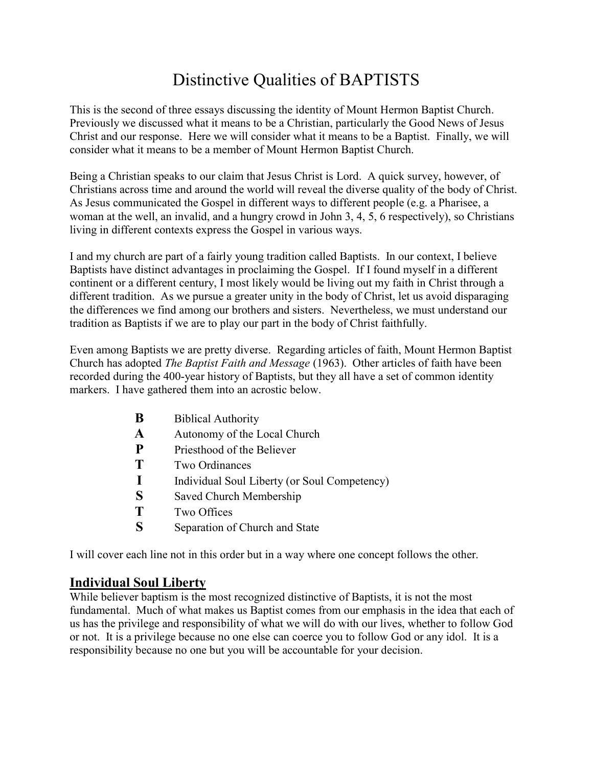# Distinctive Qualities of BAPTISTS

This is the second of three essays discussing the identity of Mount Hermon Baptist Church. Previously we discussed what it means to be a Christian, particularly the Good News of Jesus Christ and our response. Here we will consider what it means to be a Baptist. Finally, we will consider what it means to be a member of Mount Hermon Baptist Church.

Being a Christian speaks to our claim that Jesus Christ is Lord. A quick survey, however, of Christians across time and around the world will reveal the diverse quality of the body of Christ. As Jesus communicated the Gospel in different ways to different people (e.g. a Pharisee, a woman at the well, an invalid, and a hungry crowd in John 3, 4, 5, 6 respectively), so Christians living in different contexts express the Gospel in various ways.

I and my church are part of a fairly young tradition called Baptists. In our context, I believe Baptists have distinct advantages in proclaiming the Gospel. If I found myself in a different continent or a different century, I most likely would be living out my faith in Christ through a different tradition. As we pursue a greater unity in the body of Christ, let us avoid disparaging the differences we find among our brothers and sisters. Nevertheless, we must understand our tradition as Baptists if we are to play our part in the body of Christ faithfully.

Even among Baptists we are pretty diverse. Regarding articles of faith, Mount Hermon Baptist Church has adopted The Baptist Faith and Message (1963). Other articles of faith have been recorded during the 400-year history of Baptists, but they all have a set of common identity markers. I have gathered them into an acrostic below.

| B | <b>Biblical Authority</b>                    |
|---|----------------------------------------------|
| A | Autonomy of the Local Church                 |
| P | Priesthood of the Believer                   |
| T | Two Ordinances                               |
|   | Individual Soul Liberty (or Soul Competency) |
| S | Saved Church Membership                      |
| T | Two Offices                                  |
| S | Separation of Church and State               |
|   |                                              |

I will cover each line not in this order but in a way where one concept follows the other.

# Individual Soul Liberty

While believer baptism is the most recognized distinctive of Baptists, it is not the most fundamental. Much of what makes us Baptist comes from our emphasis in the idea that each of us has the privilege and responsibility of what we will do with our lives, whether to follow God or not. It is a privilege because no one else can coerce you to follow God or any idol. It is a responsibility because no one but you will be accountable for your decision.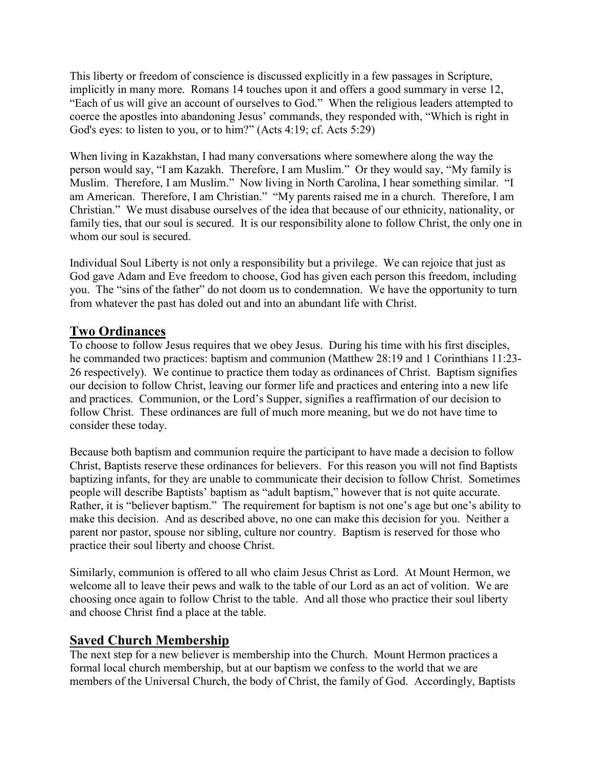This liberty or freedom of conscience is discussed explicitly in a few passages in Scripture, implicitly in many more. Romans 14 touches upon it and offers a good summary in verse 12, "Each of us will give an account of ourselves to God." When the religious leaders attempted to coerce the apostles into abandoning Jesus' commands, they responded with, "Which is right in God's eyes: to listen to you, or to him?" (Acts 4:19; cf. Acts 5:29)

When living in Kazakhstan, I had many conversations where somewhere along the way the person would say, "I am Kazakh. Therefore, I am Muslim." Or they would say, "My family is Muslim. Therefore, I am Muslim." Now living in North Carolina, I hear something similar. "I am American. Therefore, I am Christian." "My parents raised me in a church. Therefore, I am Christian." We must disabuse ourselves of the idea that because of our ethnicity, nationality, or family ties, that our soul is secured. It is our responsibility alone to follow Christ, the only one in whom our soul is secured.

Individual Soul Liberty is not only a responsibility but a privilege. We can rejoice that just as God gave Adam and Eve freedom to choose, God has given each person this freedom, including you. The "sins of the father" do not doom us to condemnation. We have the opportunity to turn from whatever the past has doled out and into an abundant life with Christ.

# Two Ordinances

To choose to follow Jesus requires that we obey Jesus. During his time with his first disciples, he commanded two practices: baptism and communion (Matthew 28:19 and 1 Corinthians 11:23- 26 respectively). We continue to practice them today as ordinances of Christ. Baptism signifies our decision to follow Christ, leaving our former life and practices and entering into a new life and practices. Communion, or the Lord's Supper, signifies a reaffirmation of our decision to follow Christ. These ordinances are full of much more meaning, but we do not have time to consider these today.

Because both baptism and communion require the participant to have made a decision to follow Christ, Baptists reserve these ordinances for believers. For this reason you will not find Baptists baptizing infants, for they are unable to communicate their decision to follow Christ. Sometimes people will describe Baptists' baptism as "adult baptism," however that is not quite accurate. Rather, it is "believer baptism." The requirement for baptism is not one's age but one's ability to make this decision. And as described above, no one can make this decision for you. Neither a parent nor pastor, spouse nor sibling, culture nor country. Baptism is reserved for those who practice their soul liberty and choose Christ.

Similarly, communion is offered to all who claim Jesus Christ as Lord. At Mount Hermon, we welcome all to leave their pews and walk to the table of our Lord as an act of volition. We are choosing once again to follow Christ to the table. And all those who practice their soul liberty and choose Christ find a place at the table.

#### Saved Church Membership

The next step for a new believer is membership into the Church. Mount Hermon practices a formal local church membership, but at our baptism we confess to the world that we are members of the Universal Church, the body of Christ, the family of God. Accordingly, Baptists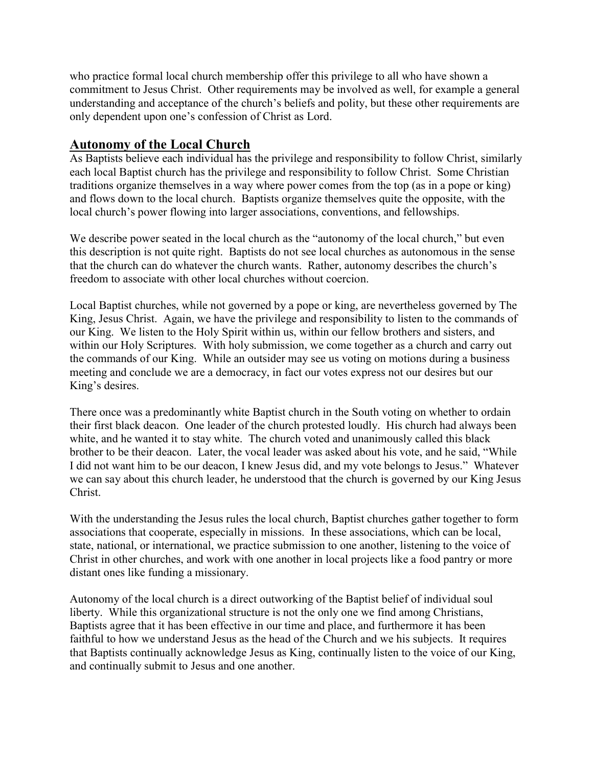who practice formal local church membership offer this privilege to all who have shown a commitment to Jesus Christ. Other requirements may be involved as well, for example a general understanding and acceptance of the church's beliefs and polity, but these other requirements are only dependent upon one's confession of Christ as Lord.

#### Autonomy of the Local Church

As Baptists believe each individual has the privilege and responsibility to follow Christ, similarly each local Baptist church has the privilege and responsibility to follow Christ. Some Christian traditions organize themselves in a way where power comes from the top (as in a pope or king) and flows down to the local church. Baptists organize themselves quite the opposite, with the local church's power flowing into larger associations, conventions, and fellowships.

We describe power seated in the local church as the "autonomy of the local church," but even this description is not quite right. Baptists do not see local churches as autonomous in the sense that the church can do whatever the church wants. Rather, autonomy describes the church's freedom to associate with other local churches without coercion.

Local Baptist churches, while not governed by a pope or king, are nevertheless governed by The King, Jesus Christ. Again, we have the privilege and responsibility to listen to the commands of our King. We listen to the Holy Spirit within us, within our fellow brothers and sisters, and within our Holy Scriptures. With holy submission, we come together as a church and carry out the commands of our King. While an outsider may see us voting on motions during a business meeting and conclude we are a democracy, in fact our votes express not our desires but our King's desires.

There once was a predominantly white Baptist church in the South voting on whether to ordain their first black deacon. One leader of the church protested loudly. His church had always been white, and he wanted it to stay white. The church voted and unanimously called this black brother to be their deacon. Later, the vocal leader was asked about his vote, and he said, "While I did not want him to be our deacon, I knew Jesus did, and my vote belongs to Jesus." Whatever we can say about this church leader, he understood that the church is governed by our King Jesus Christ.

With the understanding the Jesus rules the local church, Baptist churches gather together to form associations that cooperate, especially in missions. In these associations, which can be local, state, national, or international, we practice submission to one another, listening to the voice of Christ in other churches, and work with one another in local projects like a food pantry or more distant ones like funding a missionary.

Autonomy of the local church is a direct outworking of the Baptist belief of individual soul liberty. While this organizational structure is not the only one we find among Christians, Baptists agree that it has been effective in our time and place, and furthermore it has been faithful to how we understand Jesus as the head of the Church and we his subjects. It requires that Baptists continually acknowledge Jesus as King, continually listen to the voice of our King, and continually submit to Jesus and one another.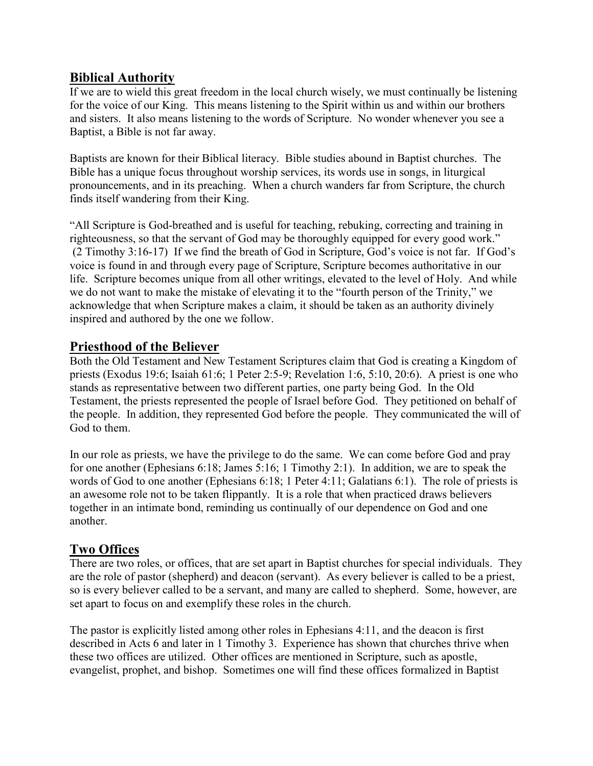### Biblical Authority

If we are to wield this great freedom in the local church wisely, we must continually be listening for the voice of our King. This means listening to the Spirit within us and within our brothers and sisters. It also means listening to the words of Scripture. No wonder whenever you see a Baptist, a Bible is not far away.

Baptists are known for their Biblical literacy. Bible studies abound in Baptist churches. The Bible has a unique focus throughout worship services, its words use in songs, in liturgical pronouncements, and in its preaching. When a church wanders far from Scripture, the church finds itself wandering from their King.

"All Scripture is God-breathed and is useful for teaching, rebuking, correcting and training in righteousness, so that the servant of God may be thoroughly equipped for every good work." (2 Timothy 3:16-17) If we find the breath of God in Scripture, God's voice is not far. If God's voice is found in and through every page of Scripture, Scripture becomes authoritative in our life. Scripture becomes unique from all other writings, elevated to the level of Holy. And while we do not want to make the mistake of elevating it to the "fourth person of the Trinity," we acknowledge that when Scripture makes a claim, it should be taken as an authority divinely inspired and authored by the one we follow.

# Priesthood of the Believer

Both the Old Testament and New Testament Scriptures claim that God is creating a Kingdom of priests (Exodus 19:6; Isaiah 61:6; 1 Peter 2:5-9; Revelation 1:6, 5:10, 20:6). A priest is one who stands as representative between two different parties, one party being God. In the Old Testament, the priests represented the people of Israel before God. They petitioned on behalf of the people. In addition, they represented God before the people. They communicated the will of God to them.

In our role as priests, we have the privilege to do the same. We can come before God and pray for one another (Ephesians 6:18; James 5:16; 1 Timothy 2:1). In addition, we are to speak the words of God to one another (Ephesians 6:18; 1 Peter 4:11; Galatians 6:1). The role of priests is an awesome role not to be taken flippantly. It is a role that when practiced draws believers together in an intimate bond, reminding us continually of our dependence on God and one another.

# Two Offices

There are two roles, or offices, that are set apart in Baptist churches for special individuals. They are the role of pastor (shepherd) and deacon (servant). As every believer is called to be a priest, so is every believer called to be a servant, and many are called to shepherd. Some, however, are set apart to focus on and exemplify these roles in the church.

The pastor is explicitly listed among other roles in Ephesians 4:11, and the deacon is first described in Acts 6 and later in 1 Timothy 3. Experience has shown that churches thrive when these two offices are utilized. Other offices are mentioned in Scripture, such as apostle, evangelist, prophet, and bishop. Sometimes one will find these offices formalized in Baptist